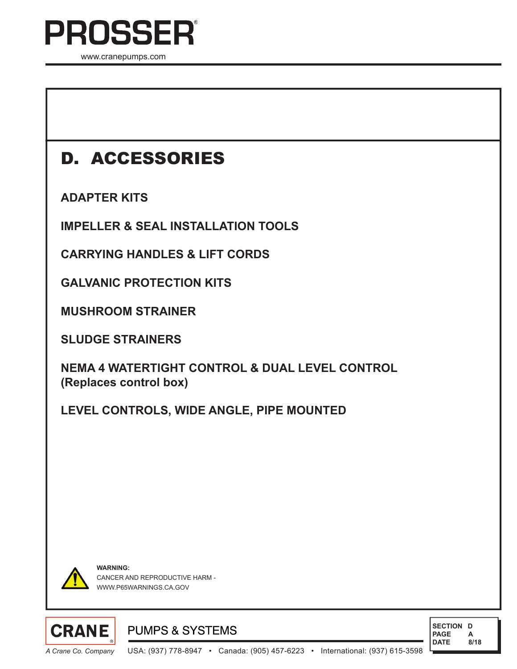

# D. ACCESSORIES

**ADAPTER KITS**

**IMPELLER & SEAL INSTALLATION TOOLS**

**CARRYING HANDLES & LIFT CORDS**

**GALVANIC PROTECTION KITS**

**MUSHROOM STRAINER**

**SLUDGE STRAINERS**

**NEMA 4 WATERTIGHT CONTROL & DUAL LEVEL CONTROL (Replaces control box)**

**LEVEL CONTROLS, WIDE ANGLE, PIPE MOUNTED**



**WARNING:**  CANCER AND REPRODUCTIVE HARM - WWW.P65WARNINGS.CA.GOV



**PUMPS & SYSTEMS** 

 **SECTION D PAGE DATE A 8/18**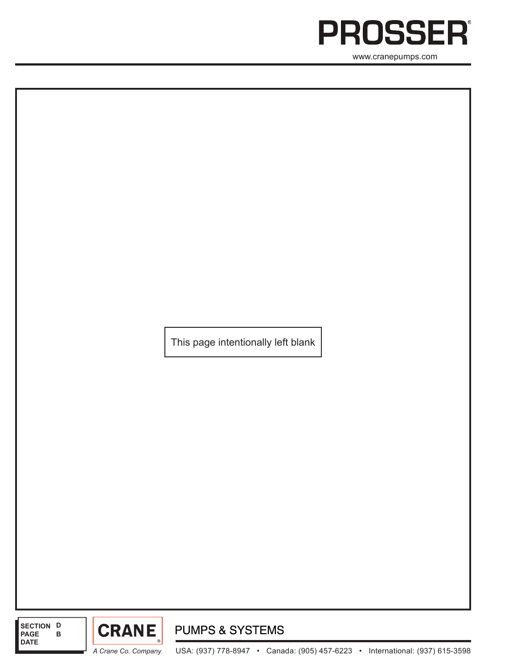

This page intentionally left blank

 **SECTION D PAGE DATE B**



**PUMPS & SYSTEMS**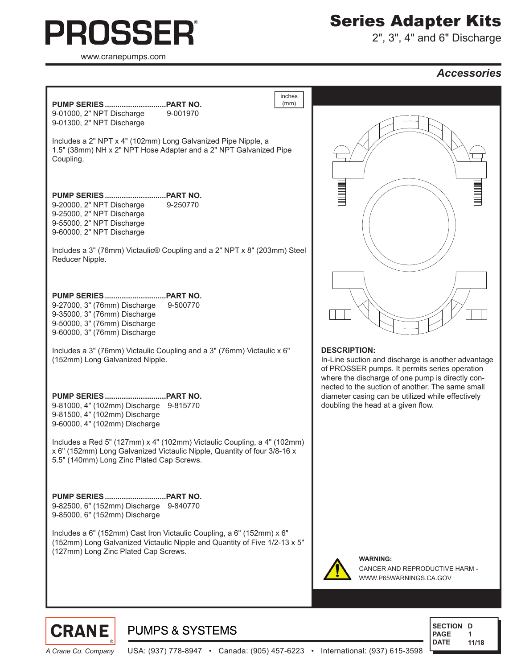

www.cranepumps.com

## Series Adapter Kits

2", 3", 4" and 6" Discharge

#### *Accessories*

 **SECTION D PAGE DATE**

**1**

**11/18**

| inches<br>(mm)<br>9-01000, 2" NPT Discharge<br>9-001970                                                                                                                                          |                                                                                                                                                                                                                                    |
|--------------------------------------------------------------------------------------------------------------------------------------------------------------------------------------------------|------------------------------------------------------------------------------------------------------------------------------------------------------------------------------------------------------------------------------------|
| 9-01300, 2" NPT Discharge<br>Includes a 2" NPT x 4" (102mm) Long Galvanized Pipe Nipple, a                                                                                                       |                                                                                                                                                                                                                                    |
| 1.5" (38mm) NH x 2" NPT Hose Adapter and a 2" NPT Galvanized Pipe<br>Coupling.                                                                                                                   |                                                                                                                                                                                                                                    |
| 9-20000, 2" NPT Discharge<br>9-250770<br>9-25000, 2" NPT Discharge<br>9-55000, 2" NPT Discharge<br>9-60000, 2" NPT Discharge                                                                     |                                                                                                                                                                                                                                    |
| Includes a 3" (76mm) Victaulic® Coupling and a 2" NPT x 8" (203mm) Steel<br>Reducer Nipple.                                                                                                      |                                                                                                                                                                                                                                    |
|                                                                                                                                                                                                  |                                                                                                                                                                                                                                    |
| 9-27000, 3" (76mm) Discharge<br>9-500770<br>9-35000, 3" (76mm) Discharge<br>9-50000, 3" (76mm) Discharge<br>9-60000, 3" (76mm) Discharge                                                         |                                                                                                                                                                                                                                    |
| Includes a 3" (76mm) Victaulic Coupling and a 3" (76mm) Victaulic x 6"<br>(152mm) Long Galvanized Nipple.                                                                                        | <b>DESCRIPTION:</b><br>In-Line suction and discharge is another advantage<br>of PROSSER pumps. It permits series operation<br>where the discharge of one pump is directly con-<br>nected to the suction of another. The same small |
| 9-81000, 4" (102mm) Discharge 9-815770<br>9-81500, 4" (102mm) Discharge<br>9-60000, 4" (102mm) Discharge                                                                                         | diameter casing can be utilized while effectively<br>doubling the head at a given flow.                                                                                                                                            |
| Includes a Red 5" (127mm) x 4" (102mm) Victaulic Coupling, a 4" (102mm)<br>x 6" (152mm) Long Galvanized Victaulic Nipple, Quantity of four 3/8-16 x<br>5.5" (140mm) Long Zinc Plated Cap Screws. |                                                                                                                                                                                                                                    |
| 9-82500, 6" (152mm) Discharge 9-840770<br>9-85000, 6" (152mm) Discharge                                                                                                                          |                                                                                                                                                                                                                                    |
| Includes a 6" (152mm) Cast Iron Victaulic Coupling, a 6" (152mm) x 6"<br>(152mm) Long Galvanized Victaulic Nipple and Quantity of Five 1/2-13 x 5"<br>(127mm) Long Zinc Plated Cap Screws.       | <b>WARNING:</b>                                                                                                                                                                                                                    |
|                                                                                                                                                                                                  | CANCER AND REPRODUCTIVE HARM -<br>WWW.P65WARNINGS.CA.GOV                                                                                                                                                                           |
|                                                                                                                                                                                                  |                                                                                                                                                                                                                                    |
|                                                                                                                                                                                                  |                                                                                                                                                                                                                                    |



**PUMPS & SYSTEMS**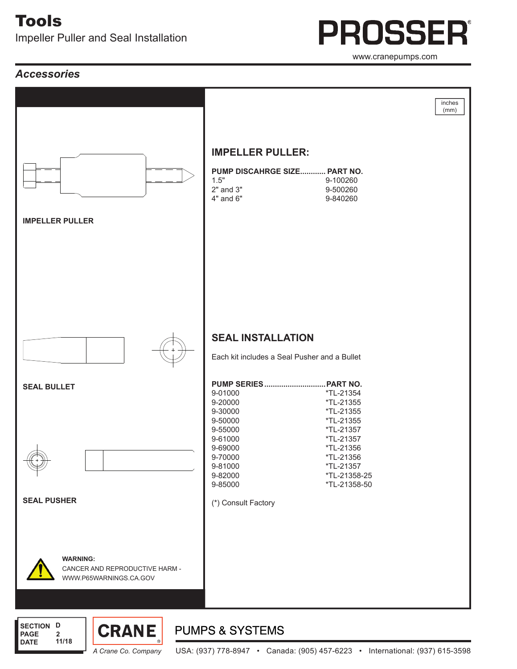Impeller Puller and Seal Installation

#### *Accessories*



www.cranepumps.com

| <b>IMPELLER PULLER</b>                                                                                                         | <b>IMPELLER PULLER:</b><br>PUMP DISCAHRGE SIZE PART NO.<br>1.5"<br>$2"$ and $3"$<br>4" and 6"                         | inches<br>(mm)<br>9-100260<br>9-500260<br>9-840260                                                                                                |
|--------------------------------------------------------------------------------------------------------------------------------|-----------------------------------------------------------------------------------------------------------------------|---------------------------------------------------------------------------------------------------------------------------------------------------|
|                                                                                                                                | <b>SEAL INSTALLATION</b><br>Each kit includes a Seal Pusher and a Bullet                                              |                                                                                                                                                   |
| <b>SEAL BULLET</b>                                                                                                             | 9-01000<br>9-20000<br>9-30000<br>9-50000<br>9-55000<br>9-61000<br>9-69000<br>9-70000<br>9-81000<br>9-82000<br>9-85000 | *TL-21354<br>*TL-21355<br>*TL-21355<br>*TL-21355<br>*TL-21357<br>*TL-21357<br>*TL-21356<br>*TL-21356<br>*TL-21357<br>*TL-21358-25<br>*TL-21358-50 |
| <b>SEAL PUSHER</b><br><b>WARNING:</b><br>CANCER AND REPRODUCTIVE HARM -<br>WWW.P65WARNINGS.CA.GOV<br><b>SECTION D</b><br>CDANE | (*) Consult Factory<br>DUIMOC & CVCTEMO                                                                               |                                                                                                                                                   |

### **PUMPS & SYSTEMS**

**URANE** 

 $^\circledR$ 

 **PAGE DATE** **2**

**11/18**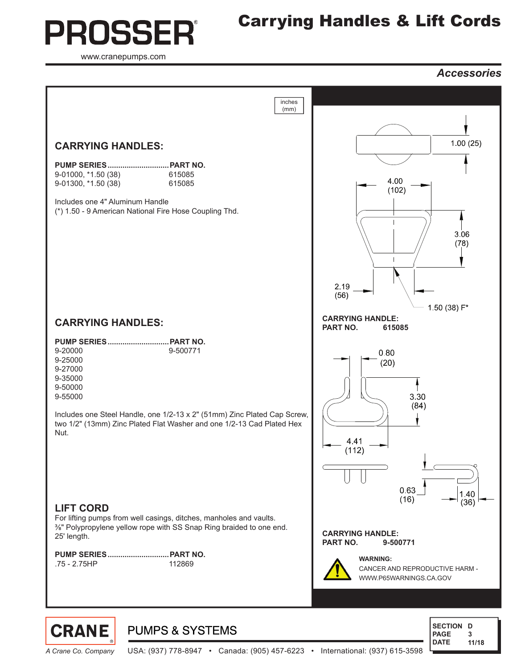## Carrying Handles & Lift Cords



*Accessories*

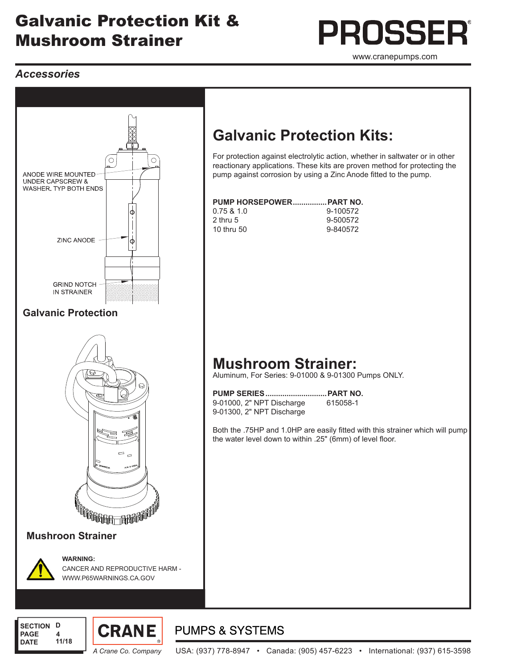### Galvanic Protection Kit & Mushroom Strainer



www.cranepumps.com

#### *Accessories*

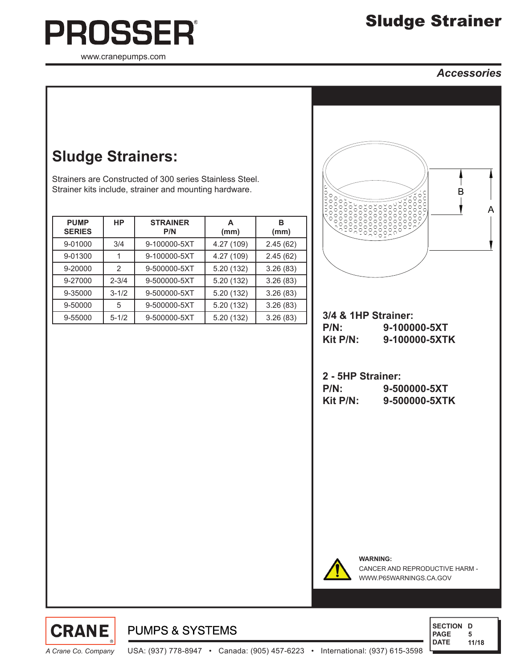# Sludge Strainer



*Accessories*

# **Sludge Strainers:**

Strainers are Constructed of 300 series Stainless Steel. Strainer kits include, strainer and mounting hardware.

| <b>PUMP</b><br><b>SERIES</b> | HP        | <b>STRAINER</b><br>P/N | A<br>(mm)  | в<br>(mm) |
|------------------------------|-----------|------------------------|------------|-----------|
| 9-01000                      | 3/4       | 9-100000-5XT           | 4.27 (109) | 2.45(62)  |
| 9-01300                      |           | 9-100000-5XT           | 4.27 (109) | 2.45(62)  |
| 9-20000                      | 2         | 9-500000-5XT           | 5.20(132)  | 3.26(83)  |
| 9-27000                      | $2 - 3/4$ | 9-500000-5XT           | 5.20(132)  | 3.26(83)  |
| 9-35000                      | $3 - 1/2$ | 9-500000-5XT           | 5.20(132)  | 3.26(83)  |
| 9-50000                      | 5         | 9-500000-5XT           | 5.20(132)  | 3.26(83)  |
| 9-55000                      | $5 - 1/2$ | 9-500000-5XT           | 5.20(132)  | 3.26(83)  |







**PUMPS & SYSTEMS**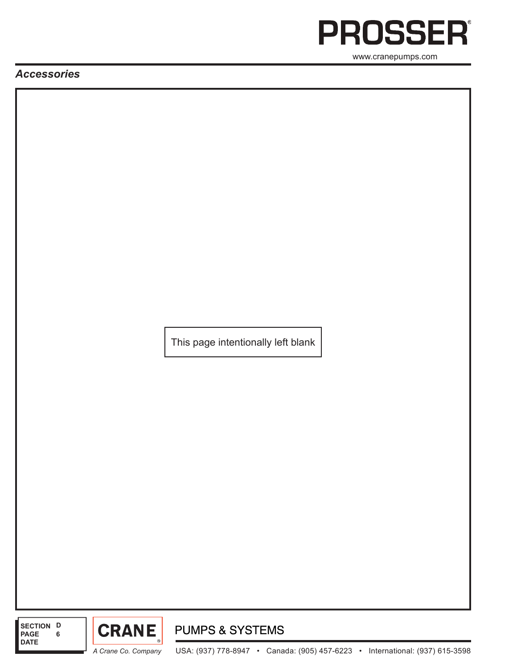![](_page_7_Picture_0.jpeg)

*Accessories*

This page intentionally left blank

 **SECTION D PAGE DATE 6**

![](_page_7_Picture_4.jpeg)

**PUMPS & SYSTEMS**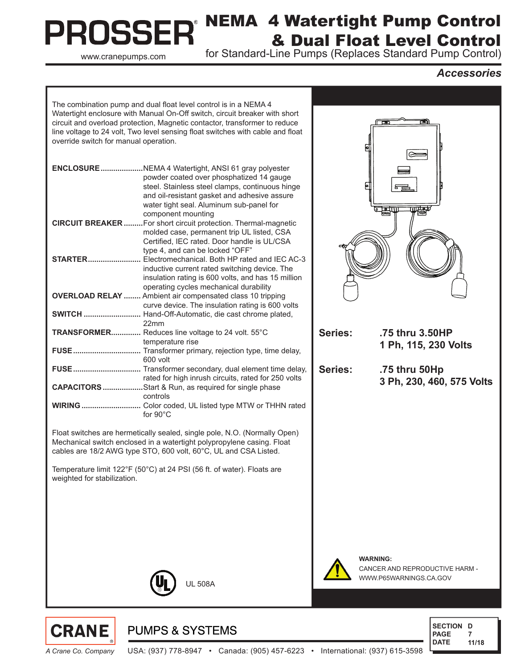# NEMA 4 Watertight Pump Control & Dual Float Level Control

www.cranepumps.com

### for Standard-Line Pumps (Replaces Standard Pump Control)

### *Accessories*

The combination pump and dual float level control is in a NEMA 4 Watertight enclosure with Manual On-Off switch, circuit breaker with short circuit and overload protection, Magnetic contactor, transformer to reduce line voltage to 24 volt, Two level sensing float switches with cable and float override switch for manual operation. ๏ **ENCLOSURE ....................**NEMA 4 Watertight, ANSI 61 gray polyester powder coated over phosphatized 14 gauge steel. Stainless steel clamps, continuous hinge and oil-resistant gasket and adhesive assure water tight seal. Aluminum sub-panel for खा component mounting **CIRCUIT BREAKER .........**For short circuit protection. Thermal-magnetic molded case, permanent trip UL listed, CSA Certified, IEC rated. Door handle is UL/CSA type 4, and can be locked "OFF" **STARTER .........................** Electromechanical. Both HP rated and IEC AC-3 inductive current rated switching device. The insulation rating is 600 volts, and has 15 million operating cycles mechanical durability **OVERLOAD RELAY ........** Ambient air compensated class 10 tripping curve device. The insulation rating is 600 volts **SWITCH ...........................** Hand-Off-Automatic, die cast chrome plated, 22mm **TRANSFORMER..............** Reduces line voltage to 24 volt. 55°C **Series: .75 thru 3.50HP** temperature rise  **1 Ph, 115, 230 Volts FUSE ................................** Transformer primary, rejection type, time delay, 600 volt **Series: .75 thru 50Hp FUSE ................................** Transformer secondary, dual element time delay, rated for high inrush circuits, rated for 250 volts  **3 Ph, 230, 460, 575 Volts CAPACITORS ...................**Start & Run, as required for single phase controls **WIRING ............................** Color coded, UL listed type MTW or THHN rated for 90°C Float switches are hermetically sealed, single pole, N.O. (Normally Open) Mechanical switch enclosed in a watertight polypropylene casing. Float cables are 18/2 AWG type STO, 600 volt, 60°C, UL and CSA Listed. Temperature limit 122°F (50°C) at 24 PSI (56 ft. of water). Floats are weighted for stabilization. **WARNING:**  CANCER AND REPRODUCTIVE HARM - WWW.P65WARNINGS.CA.GOVUL 508A

![](_page_8_Picture_5.jpeg)

**PUMPS & SYSTEMS** 

*A Crane Co. Company* USA: (937) 778-8947 • Canada: (905) 457-6223 • International: (937) 615-3598

 **SECTION D PAGE DATE 7 11/18**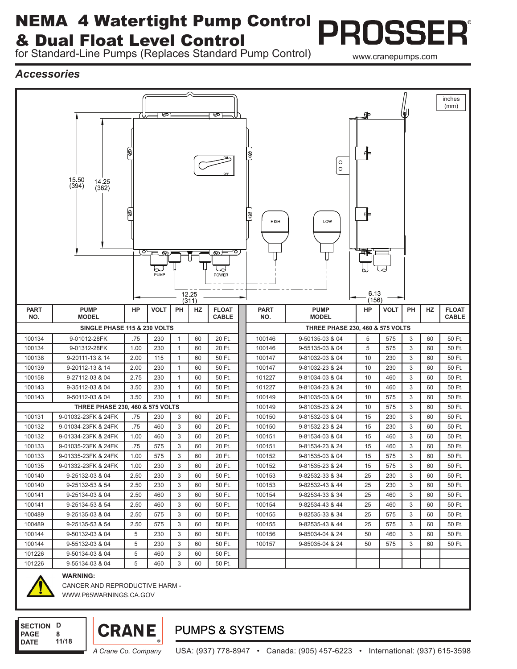#### NEMA 4 Watertight Pump Control **PROSSEI** & Dual Float Level Control

for Standard-Line Pumps (Replaces Standard Pump Control)

www.cranepumps.com

#### *Accessories*

![](_page_9_Figure_4.jpeg)

 **SECTION D PAGE DATE 8 11/18**

![](_page_9_Picture_6.jpeg)

**PUMPS & SYSTEMS**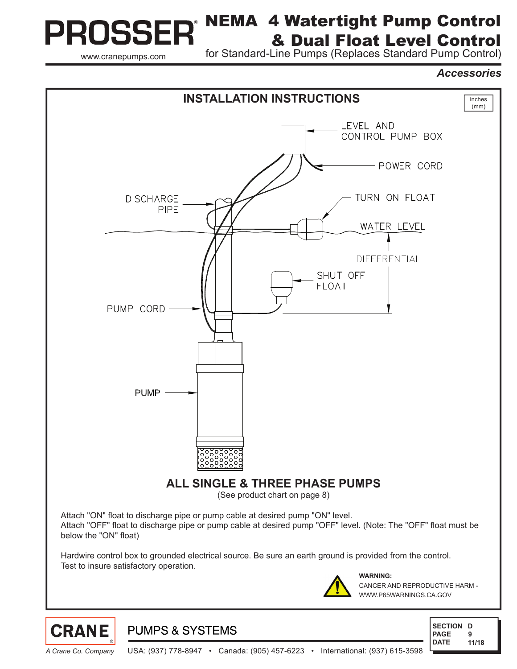www.cranepumps.com

## NEMA 4 Watertight Pump Control & Dual Float Level Control

for Standard-Line Pumps (Replaces Standard Pump Control)

### *Accessories*

![](_page_10_Figure_4.jpeg)